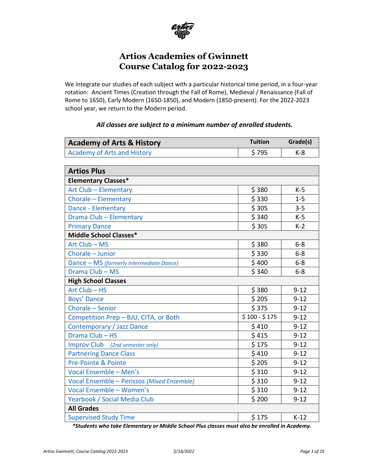

# **Artios Academies of Gwinnett Course Catalog for 2022-2023**

We integrate our studies of each subject with a particular historical time period, in a four-year rotation: Ancient Times (Creation through the Fall of Rome), Medieval / Renaissance (Fall of Rome to 1650), Early Modern (1650-1850), and Modern (1850-present). For the 2022-2023 school year, we return to the Modern period.

<span id="page-0-1"></span><span id="page-0-0"></span>

| <b>Academy of Arts &amp; History</b>       | <b>Tuition</b> | Grade(s) |
|--------------------------------------------|----------------|----------|
| <b>Academy of Arts and History</b>         | \$795          | $K-8$    |
|                                            |                |          |
| <b>Artios Plus</b>                         |                |          |
| <b>Elementary Classes*</b>                 |                |          |
| Art Club - Elementary                      | \$380          | $K-5$    |
| Chorale - Elementary                       | \$330          | $1 - 5$  |
| Dance - Elementary                         | \$305          | $3 - 5$  |
| Drama Club - Elementary                    | \$340          | $K-5$    |
| <b>Primary Dance</b>                       | \$305          | $K-2$    |
| Middle School Classes*                     |                |          |
| Art Club - MS                              | \$380          | $6 - 8$  |
| Chorale - Junior                           | \$330          | $6 - 8$  |
| Dance - MS (formerly Intermediate Dance)   | \$400          | $6-8$    |
| Drama Club - MS                            | \$340          | $6 - 8$  |
| <b>High School Classes</b>                 |                |          |
| Art Club - HS                              | \$380          | $9 - 12$ |
| <b>Boys' Dance</b>                         | \$205          | $9 - 12$ |
| Chorale - Senior                           | \$375          | $9 - 12$ |
| Competition Prep - BJU, CITA, or Both      | $$100 - $175$  | $9 - 12$ |
| Contemporary / Jazz Dance                  | \$410          | $9 - 12$ |
| Drama Club - HS                            | \$415          | $9 - 12$ |
| Improv Club (2nd semester only)            | \$175          | $9 - 12$ |
| <b>Partnering Dance Class</b>              | \$410          | $9 - 12$ |
| Pre-Pointe & Pointe                        | \$205          | $9 - 12$ |
| Vocal Ensemble - Men's                     | \$310          | $9 - 12$ |
| Vocal Ensemble - Perissos (Mixed Ensemble) | \$310          | $9 - 12$ |
| Vocal Ensemble - Women's                   | \$310          | $9 - 12$ |
| Yearbook / Social Media Club               | \$200          | $9 - 12$ |
| <b>All Grades</b>                          |                |          |
| <b>Supervised Study Time</b>               | \$175          | $K-12$   |

*\*Students who take Elementary or Middle School Plus classes must also be enrolled in Academy.*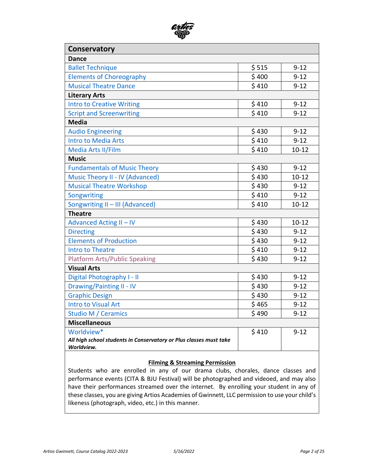<span id="page-1-0"></span>

| Conservatory                                                       |       |           |
|--------------------------------------------------------------------|-------|-----------|
| <b>Dance</b>                                                       |       |           |
| <b>Ballet Technique</b>                                            | \$515 | $9 - 12$  |
| <b>Elements of Choreography</b>                                    | \$400 | $9 - 12$  |
| <b>Musical Theatre Dance</b>                                       | \$410 | $9 - 12$  |
| <b>Literary Arts</b>                                               |       |           |
| <b>Intro to Creative Writing</b>                                   | \$410 | $9 - 12$  |
| <b>Script and Screenwriting</b>                                    | \$410 | $9 - 12$  |
| <b>Media</b>                                                       |       |           |
| <b>Audio Engineering</b>                                           | \$430 | $9 - 12$  |
| <b>Intro to Media Arts</b>                                         | \$410 | $9 - 12$  |
| Media Arts II/Film                                                 | \$410 | $10 - 12$ |
| <b>Music</b>                                                       |       |           |
| <b>Fundamentals of Music Theory</b>                                | \$430 | $9 - 12$  |
| Music Theory II - IV (Advanced)                                    | \$430 | $10 - 12$ |
| <b>Musical Theatre Workshop</b>                                    | \$430 | $9 - 12$  |
| Songwriting                                                        | \$410 | $9 - 12$  |
| Songwriting II - III (Advanced)                                    | \$410 | $10 - 12$ |
| <b>Theatre</b>                                                     |       |           |
| <b>Advanced Acting II - IV</b>                                     | \$430 | $10 - 12$ |
| <b>Directing</b>                                                   | \$430 | $9 - 12$  |
| <b>Elements of Production</b>                                      | \$430 | $9 - 12$  |
| <b>Intro to Theatre</b>                                            | \$410 | $9 - 12$  |
| <b>Platform Arts/Public Speaking</b>                               | \$430 | $9 - 12$  |
| <b>Visual Arts</b>                                                 |       |           |
| Digital Photography I - II                                         | \$430 | $9 - 12$  |
| <b>Drawing/Painting II - IV</b>                                    | \$430 | $9 - 12$  |
| <b>Graphic Design</b>                                              | \$430 | $9 - 12$  |
| <b>Intro to Visual Art</b>                                         | \$465 | $9 - 12$  |
| <b>Studio M / Ceramics</b>                                         | \$490 | $9 - 12$  |
| <b>Miscellaneous</b>                                               |       |           |
| Worldview*                                                         | \$410 | $9 - 12$  |
| All high school students in Conservatory or Plus classes must take |       |           |
| Worldview.                                                         |       |           |

#### **Filming & Streaming Permission**

<span id="page-1-1"></span>Students who are enrolled in any of our drama clubs, chorales, dance classes and performance events (CITA & BJU Festival) will be photographed and videoed, and may also have their performances streamed over the internet. By enrolling your student in any of these classes, you are giving Artios Academies of Gwinnett, LLC permission to use your child's likeness (photograph, video, etc.) in this manner.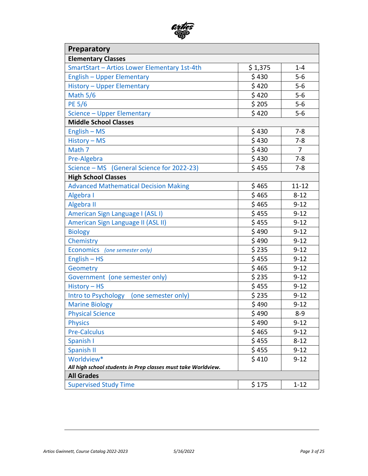| Artios<br>ලක<br>5). |  |
|---------------------|--|
|                     |  |

| <b>Preparatory</b>                                            |         |                |
|---------------------------------------------------------------|---------|----------------|
| <b>Elementary Classes</b>                                     |         |                |
| SmartStart - Artios Lower Elementary 1st-4th                  | \$1,375 | $1 - 4$        |
| <b>English - Upper Elementary</b>                             | \$430   | $5-6$          |
| <b>History - Upper Elementary</b>                             | \$420   | $5-6$          |
| Math $5/6$                                                    | \$420   | $5-6$          |
| <b>PE 5/6</b>                                                 | \$205   | $5-6$          |
| Science - Upper Elementary                                    | \$420   | $5-6$          |
| <b>Middle School Classes</b>                                  |         |                |
| $English - MS$                                                | \$430   | $7 - 8$        |
| History - MS                                                  | \$430   | $7 - 8$        |
| Math 7                                                        | \$430   | $\overline{7}$ |
| Pre-Algebra                                                   | \$430   | $7 - 8$        |
| Science - MS (General Science for 2022-23)                    | \$455   | $7 - 8$        |
| <b>High School Classes</b>                                    |         |                |
| <b>Advanced Mathematical Decision Making</b>                  | \$465   | $11 - 12$      |
| Algebra I                                                     | \$465   | $8 - 12$       |
| Algebra II                                                    | \$465   | $9 - 12$       |
| American Sign Language I (ASL I)                              | \$455   | $9 - 12$       |
| American Sign Language II (ASL II)                            | \$455   | $9 - 12$       |
| <b>Biology</b>                                                | \$490   | $9 - 12$       |
| Chemistry                                                     | \$490   | $9 - 12$       |
| Economics (one semester only)                                 | \$235   | $9 - 12$       |
| $English - HS$                                                | \$455   | $9 - 12$       |
| Geometry                                                      | \$465   | $9 - 12$       |
| Government (one semester only)                                | \$235   | $9 - 12$       |
| History - HS                                                  | \$455   | $9 - 12$       |
| Intro to Psychology<br>(one semester only)                    | \$235   | $9 - 12$       |
| <b>Marine Biology</b>                                         | \$490   | $9 - 12$       |
| <b>Physical Science</b>                                       | \$490   | $8 - 9$        |
| <b>Physics</b>                                                | \$490   | $9 - 12$       |
| <b>Pre-Calculus</b>                                           | \$465   | $9 - 12$       |
| Spanish I                                                     | \$455   | $8 - 12$       |
| Spanish II                                                    | \$455   | $9 - 12$       |
| Worldview*                                                    | \$410   | $9 - 12$       |
| All high school students in Prep classes must take Worldview. |         |                |
| <b>All Grades</b>                                             |         |                |
| <b>Supervised Study Time</b>                                  | \$175   | $1 - 12$       |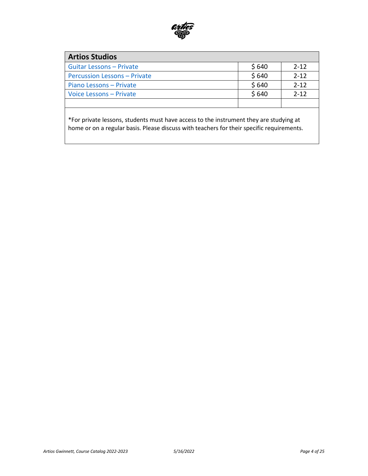

<span id="page-3-0"></span>

| <b>Artios Studios</b>               |       |          |
|-------------------------------------|-------|----------|
| <b>Guitar Lessons - Private</b>     | \$640 | $2 - 12$ |
| <b>Percussion Lessons - Private</b> | \$640 | $2 - 12$ |
| Piano Lessons - Private             | \$640 | $2 - 12$ |
| Voice Lessons - Private             | \$640 | $2 - 12$ |
|                                     |       |          |

\*For private lessons, students must have access to the instrument they are studying at home or on a regular basis. Please discuss with teachers for their specific requirements.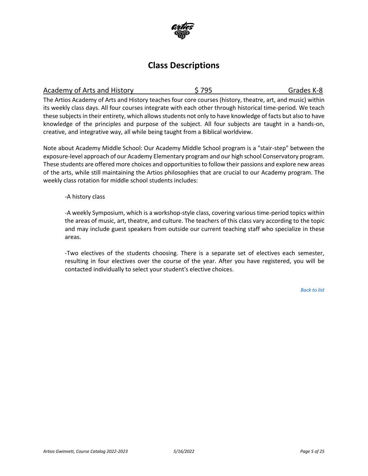

## **Class Descriptions**

<span id="page-4-0"></span>

| Academy of Arts and History | \$795 | Grades K-8 |
|-----------------------------|-------|------------|
|-----------------------------|-------|------------|

The Artios Academy of Arts and History teaches four core courses (history, theatre, art, and music) within its weekly class days. All four courses integrate with each other through historical time-period. We teach these subjects in their entirety, which allows students not only to have knowledge of facts but also to have knowledge of the principles and purpose of the subject. All four subjects are taught in a hands-on, creative, and integrative way, all while being taught from a Biblical worldview.

Note about Academy Middle School: Our Academy Middle School program is a "stair-step" between the exposure-level approach of our Academy Elementary program and our high school Conservatory program. These students are offered more choices and opportunities to follow their passions and explore new areas of the arts, while still maintaining the Artios philosophies that are crucial to our Academy program. The weekly class rotation for middle school students includes:

#### -A history class

-A weekly Symposium, which is a workshop-style class, covering various time-period topics within the areas of music, art, theatre, and culture. The teachers of this class vary according to the topic and may include guest speakers from outside our current teaching staff who specialize in these areas.

-Two electives of the students choosing. There is a separate set of electives each semester, resulting in four electives over the course of the year. After you have registered, you will be contacted individually to select your student's elective choices.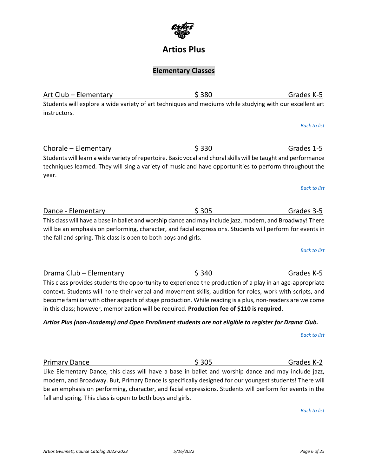

### **Artios Plus**

### **Elementary Classes**

<span id="page-5-0"></span>Art Club – Elementary **Elementary** \$ 380 Grades K-5 Students will explore a wide variety of art techniques and mediums while studying with our excellent art instructors.

*[Back to list](#page-0-1)*

<span id="page-5-1"></span>Chorale – Elementary  $\begin{array}{ccc} 5 & 330 & \qquad \qquad \text{Grades 1-5} \end{array}$ Students will learn a wide variety of repertoire. Basic vocal and choral skills will be taught and performance techniques learned. They will sing a variety of music and have opportunities to perform throughout the year.

*[Back to list](#page-0-1)*

<span id="page-5-2"></span>

| Dance - Elementary | \$305                                                                                                     | Grades 3-5 |
|--------------------|-----------------------------------------------------------------------------------------------------------|------------|
|                    | This class will have a base in ballet and worshin dance and may include jazz, modern, and Broadwayl There |            |

This class will have a base in ballet and worship dance and may include jazz, modern, and Broadway! There will be an emphasis on performing, character, and facial expressions. Students will perform for events in the fall and spring. This class is open to both boys and girls.

*[Back to list](#page-0-1)*

<span id="page-5-3"></span>Drama Club – Elementary \$ 340 Grades K-5 This class provides students the opportunity to experience the production of a play in an age-appropriate context. Students will hone their verbal and movement skills, audition for roles, work with scripts, and become familiar with other aspects of stage production. While reading is a plus, non-readers are welcome

### *Artios Plus (non-Academy) and Open Enrollment students are not eligible to register for Drama Club.*

*[Back to list](#page-0-1)*

<span id="page-5-4"></span>Primary Dance  $\sim$  \$ 305 Grades K-2 Like Elementary Dance, this class will have a base in ballet and worship dance and may include jazz, modern, and Broadway. But, Primary Dance is specifically designed for our youngest students! There will be an emphasis on performing, character, and facial expressions. Students will perform for events in the fall and spring. This class is open to both boys and girls.

*[Back to list](#page-0-1)*

in this class; however, memorization will be required. **Production fee of \$110 is required**.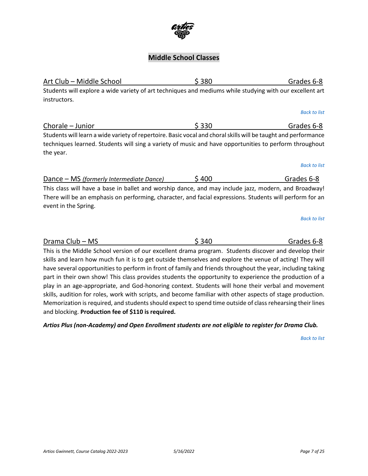## **Middle School Classes**

and blocking. **Production fee of \$110 is required.**

<span id="page-6-2"></span><span id="page-6-1"></span>

| instructors.                                                                                                                                                                                                                             |       |                     |
|------------------------------------------------------------------------------------------------------------------------------------------------------------------------------------------------------------------------------------------|-------|---------------------|
|                                                                                                                                                                                                                                          |       | <b>Back to list</b> |
| Chorale - Junior                                                                                                                                                                                                                         | \$330 | Grades 6-8          |
| Students will learn a wide variety of repertoire. Basic vocal and choral skills will be taught and performance<br>techniques learned. Students will sing a variety of music and have opportunities to perform throughout<br>the year.    |       |                     |
|                                                                                                                                                                                                                                          |       | <b>Back to list</b> |
| Dance – MS (formerly Intermediate Dance)                                                                                                                                                                                                 | \$400 | Grades 6-8          |
| This class will have a base in ballet and worship dance, and may include jazz, modern, and Broadway!<br>There will be an emphasis on performing, character, and facial expressions. Students will perform for an<br>event in the Spring. |       |                     |
|                                                                                                                                                                                                                                          |       | <b>Back to list</b> |
|                                                                                                                                                                                                                                          |       |                     |
| Drama Club - MS                                                                                                                                                                                                                          | \$340 | Grades 6-8          |
| This is the Middle School version of our excellent drama program. Students discover and develop their                                                                                                                                    |       |                     |
| skills and learn how much fun it is to get outside themselves and explore the venue of acting! They will                                                                                                                                 |       |                     |
| have several opportunities to perform in front of family and friends throughout the year, including taking                                                                                                                               |       |                     |
| part in their own show! This class provides students the opportunity to experience the production of a                                                                                                                                   |       |                     |
| play in an age-appropriate, and God-honoring context. Students will hone their verbal and movement                                                                                                                                       |       |                     |
| skills, audition for roles, work with scripts, and become familiar with other aspects of stage production.                                                                                                                               |       |                     |

*Artios Plus (non-Academy) and Open Enrollment students are not eligible to register for Drama Club.*

<span id="page-6-3"></span>Memorization is required, and students should expect to spend time outside of class rehearsing their lines

*[Back to list](#page-0-1)*



<span id="page-6-0"></span>Art Club – Middle School \$ 380 Grades 6-8 Students will explore a wide variety of art techniques and mediums while studying with our excellent art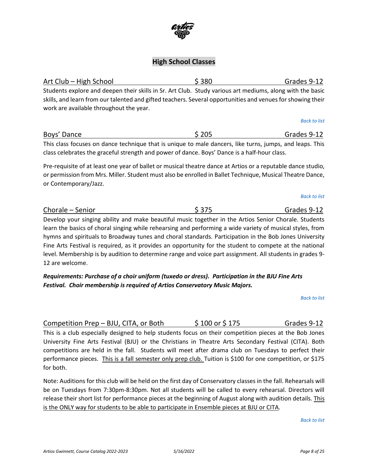# **High School Classes**

<span id="page-7-0"></span>Art Club – High School \$ 380 Grades 9-12 Students explore and deepen their skills in Sr. Art Club. Study various art mediums, along with the basic skills, and learn from our talented and gifted teachers. Several opportunities and venues for showing their work are available throughout the year.

<span id="page-7-1"></span>Boys' Dance **Boys' Dance Boys' Dance Grades 9-12** This class focuses on dance technique that is unique to male dancers, like turns, jumps, and leaps. This class celebrates the graceful strength and power of dance. Boys' Dance is a half-hour class.

Pre-requisite of at least one year of ballet or musical theatre dance at Artios or a reputable dance studio, or permission from Mrs. Miller. Student must also be enrolled in Ballet Technique, Musical Theatre Dance, or Contemporary/Jazz.

<span id="page-7-2"></span>

| Chorale - Senior                                                                                          | \$375 | Grades 9-12 |
|-----------------------------------------------------------------------------------------------------------|-------|-------------|
| Develop your singing ability and make beautiful music together in the Artios Senior Chorale. Students     |       |             |
| learn the basics of choral singing while rehearsing and performing a wide variety of musical styles, from |       |             |
| hymns and spirituals to Broadway tunes and choral standards. Participation in the Bob Jones University    |       |             |
| Fine Arts Festival is required, as it provides an opportunity for the student to compete at the national  |       |             |

level. Membership is by audition to determine range and voice part assignment. All students in grades 9-

*Requirements: Purchase of a choir uniform (tuxedo or dress). Participation in the BJU Fine Arts Festival. Choir membership is required of Artios Conservatory Music Majors.*

*[Back to list](#page-0-1)*

<span id="page-7-3"></span>Competition Prep – BJU, CITA, or Both  $$100$  or \$ 175 Grades 9-12 This is a club especially designed to help students focus on their competition pieces at the Bob Jones University Fine Arts Festival (BJU) or the Christians in Theatre Arts Secondary Festival (CITA). Both competitions are held in the fall. Students will meet after drama club on Tuesdays to perfect their performance pieces. This is a fall semester only prep club. Tuition is \$100 for one competition, or \$175 for both.

Note: Auditions for this club will be held on the first day of Conservatory classes in the fall. Rehearsals will be on Tuesdays from 7:30pm-8:30pm. Not all students will be called to every rehearsal. Directors will release their short list for performance pieces at the beginning of August along with audition details. This is the ONLY way for students to be able to participate in Ensemble pieces at BJU or CITA.

*[Back to list](#page-0-1)*

12 are welcome.



*[Back to list](#page-0-1)*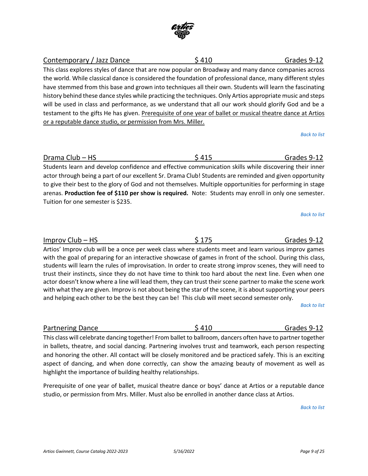

Students learn and develop confidence and effective communication skills while discovering their inner actor through being a part of our excellent Sr. Drama Club! Students are reminded and given opportunity to give their best to the glory of God and not themselves. Multiple opportunities for performing in stage arenas. **Production fee of \$110 per show is required.** Note: Students may enroll in only one semester. Tuition for one semester is \$235.

*[Back to list](#page-0-1)*

*[Back to list](#page-0-1)*

Artios' Improv club will be a once per week class where students meet and learn various improv games

with the goal of preparing for an interactive showcase of games in front of the school. During this class, students will learn the rules of improvisation. In order to create strong improv scenes, they will need to trust their instincts, since they do not have time to think too hard about the next line. Even when one actor doesn't know where a line will lead them, they can trust their scene partner to make the scene work with what they are given. Improv is not about being the star of the scene, it is about supporting your peers and helping each other to be the best they can be! This club will meet second semester only.

*[Back to list](#page-0-1)*

This class will celebrate dancing together! From ballet to ballroom, dancers often have to partner together in ballets, theatre, and social dancing. Partnering involves trust and teamwork, each person respecting and honoring the other. All contact will be closely monitored and be practiced safely. This is an exciting aspect of dancing, and when done correctly, can show the amazing beauty of movement as well as highlight the importance of building healthy relationships.

<span id="page-8-3"></span>Partnering Dance **1992 Contract Contract Contract Contract Contract Contract Contract Contract Contract Contract Contract Contract Contract Contract Contract Contract Contract Contract Contract Contract Contract Contract C** 

Prerequisite of one year of ballet, musical theatre dance or boys' dance at Artios or a reputable dance studio, or permission from Mrs. Miller. Must also be enrolled in another dance class at Artios.

*[Back to list](#page-0-1)*

the world. While classical dance is considered the foundation of professional dance, many different styles have stemmed from this base and grown into techniques all their own. Students will learn the fascinating history behind these dance styles while practicing the techniques. Only Artios appropriate music and steps will be used in class and performance, as we understand that all our work should glorify God and be a testament to the gifts He has given. Prerequisite of one year of ballet or musical theatre dance at Artios

<span id="page-8-2"></span>Improv Club – HS  $$175$  Grades 9-12

This class explores styles of dance that are now popular on Broadway and many dance companies across

<span id="page-8-0"></span>Contemporary / Jazz Dance  $\frac{1}{2}$  \$ 410 Grades 9-12

<span id="page-8-1"></span>Drama Club – HS \$ 415 Grades 9-12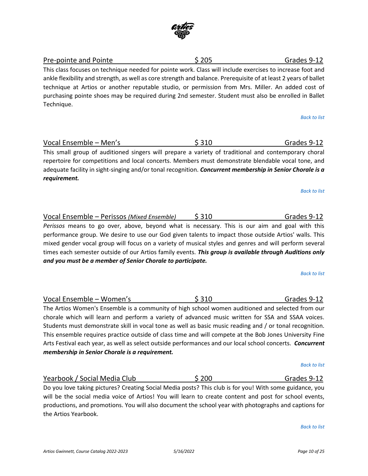

### <span id="page-9-0"></span>Pre-pointe and Pointe **business** \$ 205 Grades 9-12 This class focuses on technique needed for pointe work. Class will include exercises to increase foot and ankle flexibility and strength, as well as core strength and balance. Prerequisite of at least 2 years of ballet technique at Artios or another reputable studio, or permission from Mrs. Miller. An added cost of purchasing pointe shoes may be required during 2nd semester. Student must also be enrolled in Ballet Technique.

*[Back to list](#page-1-0)*

<span id="page-9-2"></span>*[Back to list](#page-0-1)*

<span id="page-9-1"></span>

| Vocal Ensemble - Men's                                                                                    | \$310 | Grades 9-12 |
|-----------------------------------------------------------------------------------------------------------|-------|-------------|
| This small group of auditioned singers will prepare a variety of traditional and contemporary choral      |       |             |
| repertoire for competitions and local concerts. Members must demonstrate blendable vocal tone, and        |       |             |
| adequate facility in sight-singing and/or tonal recognition. Concurrent membership in Senior Chorale is a |       |             |
| reauirement.                                                                                              |       |             |

# Vocal Ensemble – Perissos *(Mixed Ensemble)* \$ 310 Grades 9-12

*Perissos* means to go over, above, beyond what is necessary. This is our aim and goal with this performance group. We desire to use our God given talents to impact those outside Artios' walls. This mixed gender vocal group will focus on a variety of musical styles and genres and will perform several times each semester outside of our Artios family events. *This group is available through Auditions only and you must be a member of Senior Chorale to participate.*

*[Back to list](#page-0-1)*

<span id="page-9-3"></span>Vocal Ensemble – Women's 
and the Suite of Suite Suite Suite Section 12 and Suite Section 12 and the Suite Section 12 and the Suite Section 12 and the Suite Section 12 and the Suite Section 12 and the Suite Section 12 and The Artios Women's Ensemble is a community of high school women auditioned and selected from our chorale which will learn and perform a variety of advanced music written for SSA and SSAA voices. Students must demonstrate skill in vocal tone as well as basic music reading and / or tonal recognition. This ensemble requires practice outside of class time and will compete at the Bob Jones University Fine Arts Festival each year, as well as select outside performances and our local school concerts. *Concurrent membership in Senior Chorale is a requirement.*

<span id="page-9-4"></span>Yearbook / Social Media Club  $\sim$  \$ 200  $\sim$  Grades 9-12 Do you love taking pictures? Creating Social Media posts? This club is for you! With some guidance, you

will be the social media voice of Artios! You will learn to create content and post for school events, productions, and promotions. You will also document the school year with photographs and captions for the Artios Yearbook.

*[Back to list](#page-0-1)*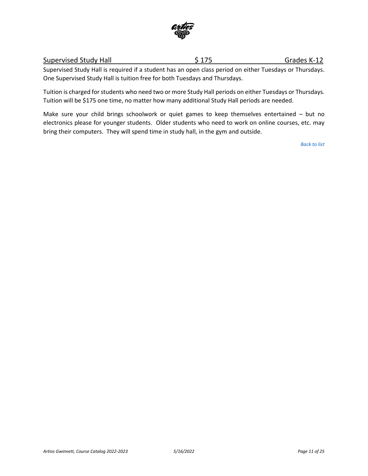

# <span id="page-10-0"></span>Supervised Study Hall  $$ 175$  Grades K-12

Supervised Study Hall is required if a student has an open class period on either Tuesdays or Thursdays. One Supervised Study Hall is tuition free for both Tuesdays and Thursdays.

Tuition is charged for students who need two or more Study Hall periods on either Tuesdays or Thursdays. Tuition will be \$175 one time, no matter how many additional Study Hall periods are needed.

Make sure your child brings schoolwork or quiet games to keep themselves entertained – but no electronics please for younger students. Older students who need to work on online courses, etc. may bring their computers. They will spend time in study hall, in the gym and outside.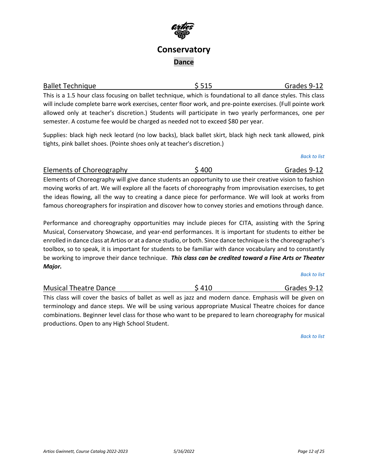# **Conservatory Dance**

<span id="page-11-0"></span>

| <b>Ballet Technique</b>                                                                                      | \$515 | Grades 9-12 |
|--------------------------------------------------------------------------------------------------------------|-------|-------------|
| This is a 1.5 hour class focusing on ballet technique, which is foundational to all dance styles. This class |       |             |
| will include complete barre work exercises, center floor work, and pre-pointe exercises. (Full pointe work   |       |             |
|                                                                                                              |       |             |

allowed only at teacher's discretion.) Students will participate in two yearly performances, one per semester. A costume fee would be charged as needed not to exceed \$80 per year.

Supplies: black high neck leotard (no low backs), black ballet skirt, black high neck tank allowed, pink tights, pink ballet shoes. (Pointe shoes only at teacher's discretion.)

<span id="page-11-1"></span>Elements of Choreography  $$400$   $$400$  Grades 9-12 Elements of Choreography will give dance students an opportunity to use their creative vision to fashion moving works of art. We will explore all the facets of choreography from improvisation exercises, to get the ideas flowing, all the way to creating a dance piece for performance. We will look at works from famous choreographers for inspiration and discover how to convey stories and emotions through dance.

Performance and choreography opportunities may include pieces for CITA, assisting with the Spring Musical, Conservatory Showcase, and year-end performances. It is important for students to either be enrolled in dance class at Artios or at a dance studio, or both. Since dance technique is the choreographer's toolbox, so to speak, it is important for students to be familiar with dance vocabulary and to constantly be working to improve their dance technique. *This class can be credited toward a Fine Arts or Theater Major.*

*[Back to list](#page-0-1)*

<span id="page-11-2"></span>Musical Theatre Dance  $\frac{1}{2}$   $\frac{1}{2}$   $\frac{1}{2}$   $\frac{1}{2}$  Grades 9-12 This class will cover the basics of ballet as well as jazz and modern dance. Emphasis will be given on terminology and dance steps. We will be using various appropriate Musical Theatre choices for dance combinations. Beginner level class for those who want to be prepared to learn choreography for musical

*[Back to list](#page-1-0)*

productions. Open to any High School Student.

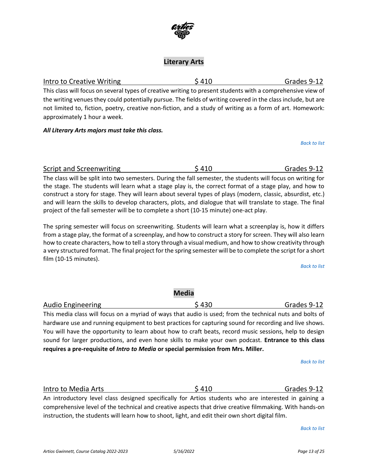### **Literary Arts**

This class will focus on several types of creative writing to present students with a comprehensive view of the writing venues they could potentially pursue. The fields of writing covered in the class include, but are not limited to, fiction, poetry, creative non-fiction, and a study of writing as a form of art. Homework:

approximately 1 hour a week.

*All Literary Arts majors must take this class.* 

The spring semester will focus on screenwriting. Students will learn what a screenplay is, how it differs from a stage play, the format of a screenplay, and how to construct a story for screen. They will also learn how to create characters, how to tell a story through a visual medium, and how to show creativity through a very structured format. The final project for the spring semester will be to complete the script for a short film (10-15 minutes).

the stage. The students will learn what a stage play is, the correct format of a stage play, and how to construct a story for stage. They will learn about several types of plays (modern, classic, absurdist, etc.) and will learn the skills to develop characters, plots, and dialogue that will translate to stage. The final

project of the fall semester will be to complete a short (10-15 minute) one-act play.

*[Back to list](#page-1-0)*

<span id="page-12-2"></span>

| <b>Audio Engineering</b>                                                                                 | \$430 | Grades 9-12 |  |
|----------------------------------------------------------------------------------------------------------|-------|-------------|--|
| This media class will focus on a myriad of ways that audio is used; from the technical nuts and bolts of |       |             |  |
| hardware use and running equipment to best practices for capturing sound for recording and live shows.   |       |             |  |
| You will have the opportunity to learn about how to craft beats, record music sessions, help to design   |       |             |  |
| sound for larger productions, and even hone skills to make your own podcast. Entrance to this class      |       |             |  |

**Media**

**requires a pre-requisite of** *Intro to Media* **or special permission from Mrs. Miller.**

*[Back to list](#page-1-0)*

<span id="page-12-3"></span>Intro to Media Arts **\$** 410 Services 3 410 Grades 9-12

An introductory level class designed specifically for Artios students who are interested in gaining a comprehensive level of the technical and creative aspects that drive creative filmmaking. With hands-on instruction, the students will learn how to shoot, light, and edit their own short digital film.

*[Back to list](#page-1-0)*



### <span id="page-12-0"></span>Intro to Creative Writing The Second Second Second Second Second Grades 9-12

*[Back to list](#page-1-0)*

<span id="page-12-1"></span>Script and Screenwriting  $$ 410$   $$ 410$  Grades 9-12

The class will be split into two semesters. During the fall semester, the students will focus on writing for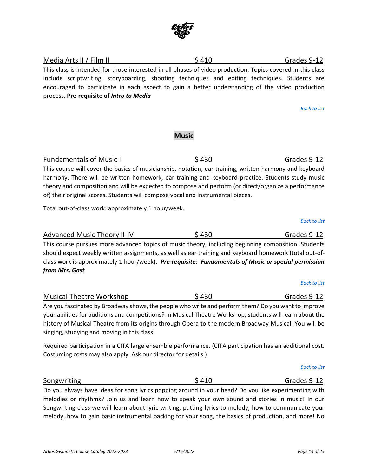<span id="page-13-0"></span>Media Arts II / Film II **S** 410 Grades 9-12 This class is intended for those interested in all phases of video production. Topics covered in this class include scriptwriting, storyboarding, shooting techniques and editing techniques. Students are encouraged to participate in each aspect to gain a better understanding of the video production process. **Pre-requisite of** *Intro to Media*

*[Back to list](#page-0-1)*

### **Music**

<span id="page-13-1"></span>Fundamentals of Music I and Sample S 430 Grades 9-12 This course will cover the basics of musicianship, notation, ear training, written harmony and keyboard harmony. There will be written homework, ear training and keyboard practice. Students study music theory and composition and will be expected to compose and perform (or direct/organize a performance of) their original scores. Students will compose vocal and instrumental pieces.

Total out-of-class work: approximately 1 hour/week.

<span id="page-13-2"></span>Advanced Music Theory II-IV  $\begin{array}{c} \text{5,430} \\ \text{6.6,430} \end{array}$  Grades 9-12 This course pursues more advanced topics of music theory, including beginning composition. Students should expect weekly written assignments, as well as ear training and keyboard homework (total out-ofclass work is approximately 1 hour/week). *Pre-requisite: Fundamentals of Music or special permission from Mrs. Gast*

*[Back to list](#page-1-0)*

*[Back to list](#page-1-0)*

Are you fascinated by Broadway shows, the people who write and perform them? Do you want to improve your abilities for auditions and competitions? In Musical Theatre Workshop, students will learn about the history of Musical Theatre from its origins through Opera to the modern Broadway Musical. You will be singing, studying and moving in this class!

Required participation in a CITA large ensemble performance. (CITA participation has an additional cost. Costuming costs may also apply. Ask our director for details.)

<span id="page-13-4"></span>Songwriting Sangwriting Services Services Services Services Services Services Services Services Services Services Services Services Services Services Services Services Services Services Services Services Services Services Do you always have ideas for song lyrics popping around in your head? Do you like experimenting with

melodies or rhythms? Join us and learn how to speak your own sound and stories in music! In our Songwriting class we will learn about lyric writing, putting lyrics to melody, how to communicate your melody, how to gain basic instrumental backing for your song, the basics of production, and more! No

<span id="page-13-3"></span>Musical Theatre Workshop  $\lesssim 430$  Grades 9-12

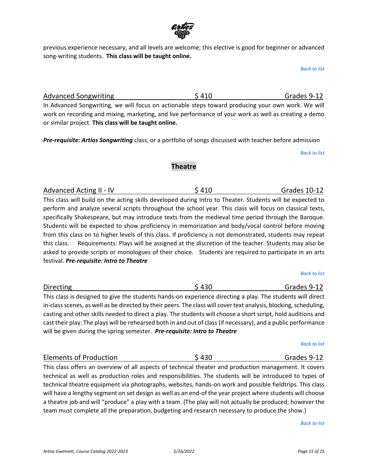

previous experience necessary, and all levels are welcome; this elective is good for beginner or advanced song-writing students. **This class will be taught online.**

*[Back to list](#page-1-0)*

<span id="page-14-0"></span>Advanced Songwriting  $$ 410$  Second Grades 9-12 In Advanced Songwriting, we will focus on actionable steps toward producing your own work. We will work on recording and mixing, marketing, and live performance of your work as well as creating a demo

*Pre-requisite: Artios Songwriting* class, or a portfolio of songs discussed with teacher before admission

*[Back to list](#page-1-0)*

### **Theatre**

<span id="page-14-1"></span>Advanced Acting II - IV  $$410$   $$410$  Grades 10-12 This class will build on the acting skills developed during Intro to Theater. Students will be expected to perform and analyze several scripts throughout the school year. This class will focus on classical texts, specifically Shakespeare, but may introduce texts from the medieval time period through the Baroque. Students will be expected to show proficiency in memorization and body/vocal control before moving from this class on to higher levels of this class. If proficiency is not demonstrated, students may repeat this class. Requirements: Plays will be assigned at the discretion of the teacher. Students may also be asked to provide scripts or monologues of their choice. Students are required to participate in an arts

festival. *Pre-requisite: Intro to Theatre*

or similar project. **This class will be taught online.**

<span id="page-14-2"></span>Directing **S** 430 Grades 9-12 This class is designed to give the students hands-on experience directing a play. The students will direct in-class scenes, as well as be directed by their peers. The class will cover text analysis, blocking, scheduling, casting and other skills needed to direct a play. The students will choose a short script, hold auditions and cast their play. The plays will be rehearsed both in and out of class(if necessary), and a public performance will be given during the spring semester. *Pre-requisite: Intro to Theatre*

*[Back to list](#page-1-0)*

<span id="page-14-3"></span>Elements of Production **Elements of Production** S 430 Grades 9-12 This class offers an overview of all aspects of technical theater and production management. It covers technical as well as production roles and responsibilities. The students will be introduced to types of technical theatre equipment via photographs, websites, hands-on work and possible fieldtrips. This class will have a lengthy segment on set design as well as an end-of the year project where students will choose a theatre job and will "produce" a play with a team. (The play will not actually be produced; however the team must complete all the preparation, budgeting and research necessary to produce the show.)

*[Back to list](#page-1-0)*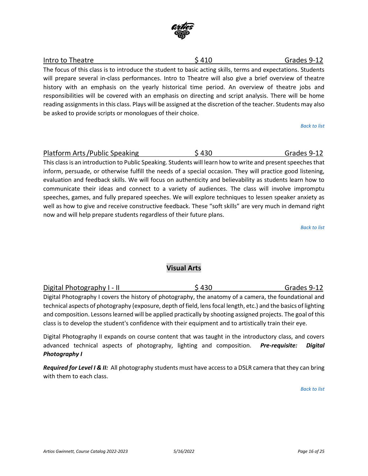

## <span id="page-15-0"></span>Intro to Theatre **12 Controller 12 Controller 12 Controller 12 Controller 12 Controller 12 Controller 12 Controller 12 Controller 12 Controller 12 Controller 12 Controller 12 Controller 12 Controller 12 Controller 12 Contr**

The focus of this class is to introduce the student to basic acting skills, terms and expectations. Students will prepare several in-class performances. Intro to Theatre will also give a brief overview of theatre history with an emphasis on the yearly historical time period. An overview of theatre jobs and responsibilities will be covered with an emphasis on directing and script analysis. There will be home reading assignments in this class. Plays will be assigned at the discretion of the teacher. Students may also be asked to provide scripts or monologues of their choice.

*[Back to list](#page-1-0)*

### <span id="page-15-1"></span>Platform Arts/Public Speaking  $\sim$  \$ 430 Grades 9-12

This class is an introduction to Public Speaking. Students will learn how to write and present speeches that inform, persuade, or otherwise fulfill the needs of a special occasion. They will practice good listening, evaluation and feedback skills. We will focus on authenticity and believability as students learn how to communicate their ideas and connect to a variety of audiences. The class will involve impromptu speeches, games, and fully prepared speeches. We will explore techniques to lessen speaker anxiety as well as how to give and receive constructive feedback. These "soft skills" are very much in demand right now and will help prepare students regardless of their future plans.

*[Back to list](#page-1-0)*

### **Visual Arts**

<span id="page-15-2"></span>

| Digital Photography I - II                                                                             | \$430 | Grades 9-12 |
|--------------------------------------------------------------------------------------------------------|-------|-------------|
| Digital Photography I covers the history of photography, the anatomy of a camera, the foundational and |       |             |

technical aspects of photography (exposure, depth of field, lens focal length, etc.) and the basics of lighting and composition. Lessons learned will be applied practically by shooting assigned projects. The goal of this class is to develop the student's confidence with their equipment and to artistically train their eye.

Digital Photography II expands on course content that was taught in the introductory class, and covers advanced technical aspects of photography, lighting and composition. *Pre-requisite: Digital Photography I*

*Required for Level I & II:* All photography students must have access to a DSLR camera that they can bring with them to each class.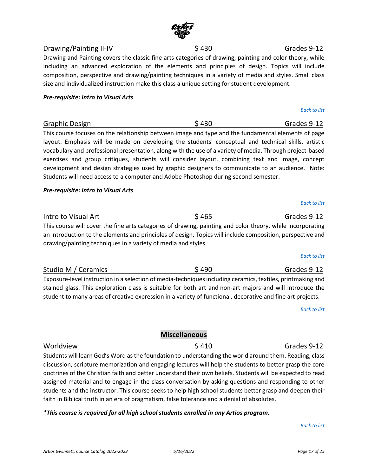### <span id="page-16-0"></span>Drawing/Painting II-IV 6430 Services of the Superintial Services of the Grades 9-12

Drawing and Painting covers the classic fine arts categories of drawing, painting and color theory, while including an advanced exploration of the elements and principles of design. Topics will include composition, perspective and drawing/painting techniques in a variety of media and styles. Small class size and individualized instruction make this class a unique setting for student development.

#### *Pre-requisite: Intro to Visual Arts*

<span id="page-16-1"></span>Graphic Design  $\angle$  430  $\angle$  Grades 9-12 This course focuses on the relationship between image and type and the fundamental elements of page layout. Emphasis will be made on developing the students' conceptual and technical skills, artistic vocabulary and professional presentation, along with the use of a variety of media. Through project-based exercises and group critiques, students will consider layout, combining text and image, concept development and design strategies used by graphic designers to communicate to an audience. Note: Students will need access to a computer and Adobe Photoshop during second semester.

### *Pre-requisite: Intro to Visual Arts*

<span id="page-16-2"></span>

| Intro to Visual Art                                                                                        | \$465 | Grades 9-12 |
|------------------------------------------------------------------------------------------------------------|-------|-------------|
| This course will cover the fine arts categories of drawing, painting and color theory, while incorporating |       |             |
| an introduction to the elements and principles of design. Topics will include composition, perspective and |       |             |

an introduction to the elements and principles of design. Topics will include composition, perspective and drawing/painting techniques in a variety of media and styles.

<span id="page-16-3"></span>

| Studio M / Ceramics                                                                                         | \$490 | Grades 9-12 |
|-------------------------------------------------------------------------------------------------------------|-------|-------------|
| Exposure-level instruction in a selection of media-techniques including ceramics, textiles, printmaking and |       |             |
| stained glass. This exploration class is suitable for both art and non-art majors and will introduce the    |       |             |
| student to many areas of creative expression in a variety of functional, decorative and fine art projects.  |       |             |

*[Back to list](#page-1-0)*

### **Miscellaneous**

<span id="page-16-4"></span>Worldview **\$** 410 Grades 9-12 Students will learn God's Word as the foundation to understanding the world around them. Reading, class discussion, scripture memorization and engaging lectures will help the students to better grasp the core doctrines of the Christian faith and better understand their own beliefs. Students will be expected to read assigned material and to engage in the class conversation by asking questions and responding to other students and the instructor. This course seeks to help high school students better grasp and deepen their faith in Biblical truth in an era of pragmatism, false tolerance and a denial of absolutes.

### *\*This course is required for all high school students enrolled in any Artios program.*

#### *[Back to list](#page-1-0)*

*[Back to list](#page-1-0)*

*[Back to list](#page-1-0)*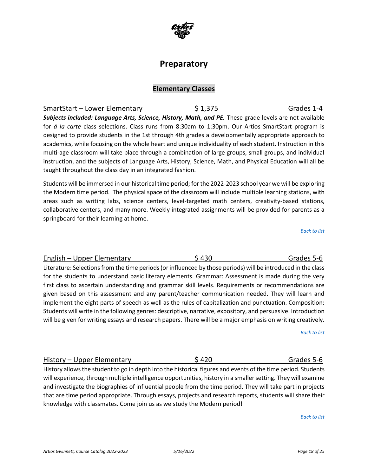*Artios Gwinnett, Course Catalog 2022-2023 5/16/2022 Page 18 of 25*

# **Preparatory**

### **Elementary Classes**

<span id="page-17-0"></span>

| SmartStart - Lower Elementary                                                                              | \$1,375 | Grades 1-4 |
|------------------------------------------------------------------------------------------------------------|---------|------------|
| Subjects included: Language Arts, Science, History, Math, and PE. These grade levels are not available     |         |            |
| for á la carte class selections. Class runs from 8:30am to 1:30pm. Our Artios SmartStart program is        |         |            |
| designed to provide students in the 1st through 4th grades a developmentally appropriate approach to       |         |            |
| academics, while focusing on the whole heart and unique individuality of each student. Instruction in this |         |            |
| multi-age classroom will take place through a combination of large groups, small groups, and individual    |         |            |
| instruction, and the subjects of Language Arts, History, Science, Math, and Physical Education will all be |         |            |
| taught throughout the class day in an integrated fashion.                                                  |         |            |

Students will be immersed in our historical time period; for the 2022-2023 school year we will be exploring the Modern time period. The physical space of the classroom will include multiple learning stations, with areas such as writing labs, science centers, level-targeted math centers, creativity-based stations, collaborative centers, and many more. Weekly integrated assignments will be provided for parents as a springboard for their learning at home.

*[Back to list](#page-1-1)*

<span id="page-17-1"></span>English – Upper Elementary  $$ 430$   $$ 430$  Grades 5-6 Literature: Selections from the time periods (or influenced by those periods) will be introduced in the class for the students to understand basic literary elements. Grammar: Assessment is made during the very first class to ascertain understanding and grammar skill levels. Requirements or recommendations are given based on this assessment and any parent/teacher communication needed. They will learn and implement the eight parts of speech as well as the rules of capitalization and punctuation. Composition: Students will write in the following genres: descriptive, narrative, expository, and persuasive. Introduction will be given for writing essays and research papers. There will be a major emphasis on writing creatively.

*[Back to list](#page-1-1)*

<span id="page-17-2"></span>History – Upper Elementary **6 5420** S 420 Grades 5-6 History allows the student to go in depth into the historical figures and events of the time period. Students will experience, through multiple intelligence opportunities, history in a smaller setting. They will examine and investigate the biographies of influential people from the time period. They will take part in projects that are time period appropriate. Through essays, projects and research reports, students will share their knowledge with classmates. Come join us as we study the Modern period!

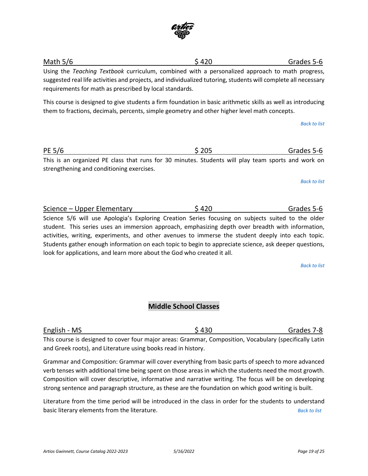and Greek roots), and Literature using books read in history.

Using the *Teaching Textbook* curriculum, combined with a personalized approach to math progress, suggested real life activities and projects, and individualized tutoring, students will complete all necessary requirements for math as prescribed by local standards.

This course is designed to give students a firm foundation in basic arithmetic skills as well as introducing them to fractions, decimals, percents, simple geometry and other higher level math concepts.

*[Back to list](#page-1-1)*

<span id="page-18-2"></span>Science – Upper Elementary  $$ 420$  Grades 5-6 Science 5/6 will use Apologia's Exploring Creation Series focusing on subjects suited to the older student. This series uses an immersion approach, emphasizing depth over breadth with information, activities, writing, experiments, and other avenues to immerse the student deeply into each topic. Students gather enough information on each topic to begin to appreciate science, ask deeper questions, look for applications, and learn more about the God who created it all.

*[Back to list](#page-1-1)*

**Middle School Classes**

<span id="page-18-3"></span>English - MS 67-8 This course is designed to cover four major areas: Grammar, Composition, Vocabulary (specifically Latin

Grammar and Composition: Grammar will cover everything from basic parts of speech to more advanced verb tenses with additional time being spent on those areas in which the students need the most growth. Composition will cover descriptive, informative and narrative writing. The focus will be on developing strong sentence and paragraph structure, as these are the foundation on which good writing is built.

Literature from the time period will be introduced in the class in order for the students to understand basic literary elements from the literature. *[Back to list](#page-1-1)*

# <span id="page-18-0"></span>Math 5/6 Grades 5-6

strengthening and conditioning exercises.

<span id="page-18-1"></span>PE 5/6 Grades 5-6

This is an organized PE class that runs for 30 minutes. Students will play team sports and work on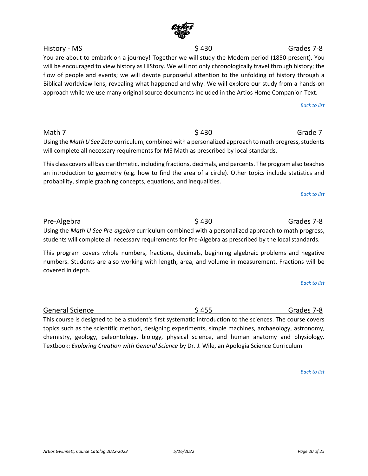You are about to embark on a journey! Together we will study the Modern period (1850-present). You will be encouraged to view history as HIStory. We will not only chronologically travel through history; the flow of people and events; we will devote purposeful attention to the unfolding of history through a Biblical worldview lens, revealing what happened and why. We will explore our study from a hands-on approach while we use many original source documents included in the Artios Home Companion Text.

*[Back to list](#page-1-1)*

<span id="page-19-1"></span>Math 7 \$ 430 Grade 7 Using the *Math U See Zeta* curriculum, combined with a personalized approach to math progress, students will complete all necessary requirements for MS Math as prescribed by local standards.

This class covers all basic arithmetic, including fractions, decimals, and percents. The program also teaches an introduction to geometry (e.g. how to find the area of a circle). Other topics include statistics and probability, simple graphing concepts, equations, and inequalities.

*[Back to list](#page-1-1)*

Using the *Math U See Pre-algebra* curriculum combined with a personalized approach to math progress, students will complete all necessary requirements for Pre-Algebra as prescribed by the local standards.

This program covers whole numbers, fractions, decimals, beginning algebraic problems and negative numbers. Students are also working with length, area, and volume in measurement. Fractions will be covered in depth.

<span id="page-19-3"></span>General Science **Contract Contract Contract Contract Contract Contract Contract Contract Contract Contract Contract Contract Contract Contract Contract Contract Contract Contract Contract Contract Contract Contract Contrac** This course is designed to be a student's first systematic introduction to the sciences. The course covers topics such as the scientific method, designing experiments, simple machines, archaeology, astronomy, chemistry, geology, paleontology, biology, physical science, and human anatomy and physiology.

Textbook: *Exploring Creation with General Science* by Dr. J. Wile, an Apologia Science Curriculum

*[Back to list](#page-1-1)*

*[Back to list](#page-1-1)*



<span id="page-19-0"></span>History - MS \$ 430 Grades 7-8

<span id="page-19-2"></span>Pre-Algebra \$ 430 Grades 7-8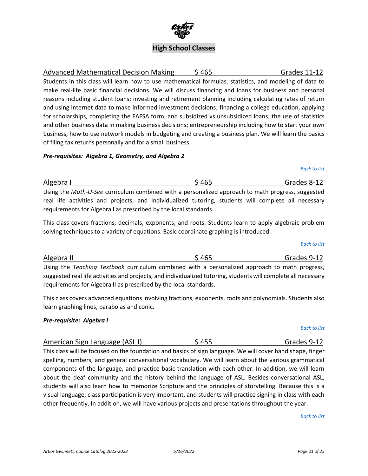#### *Artios Gwinnett, Course Catalog 2022-2023 5/16/2022 Page 21 of 25*

# *[Back to list](#page-1-1)*

<span id="page-20-3"></span>*[Back to list](#page-1-1)* American Sign Language (ASLI)  $$455$  Grades 9-12 This class will be focused on the foundation and basics of sign language. We will cover hand shape, finger spelling, numbers, and general conversational vocabulary. We will learn about the various grammatical components of the language, and practice basic translation with each other. In addition, we will learn

about the deaf community and the history behind the language of ASL. Besides conversational ASL, students will also learn how to memorize Scripture and the principles of storytelling. Because this is a visual language, class participation is very important, and students will practice signing in class with each

requirements for Algebra II as prescribed by the local standards.

*[Back to list](#page-1-1)* Algebra II 6 Algebra II 6 Algebra II 6 Algebra II 6 Algebra II 6 Algebra II 6 Algebra II 6 Algebra II 6 Algebra II

real life activities and projects, and individualized tutoring, students will complete all necessary requirements for Algebra I as prescribed by the local standards. This class covers fractions, decimals, exponents, and roots. Students learn to apply algebraic problem

solving techniques to a variety of equations. Basic coordinate graphing is introduced.

<span id="page-20-1"></span>

of filing tax returns personally and for a small business.

*Pre-requisites: Algebra 1, Geometry, and Algebra 2*

*[Back to list](#page-1-1)* Algebra I  $\sim$  6.465 Grades 8-12 Using the *Math-U-See* curriculum combined with a personalized approach to math progress, suggested

<span id="page-20-0"></span>Advanced Mathematical Decision Making  $\qquad \qquad$  \$ 465  $\qquad \qquad$  Grades 11-12 Students in this class will learn how to use mathematical formulas, statistics, and modeling of data to make real-life basic financial decisions. We will discuss financing and loans for business and personal reasons including student loans; investing and retirement planning including calculating rates of return and using internet data to make informed investment decisions; financing a college education, applying for scholarships, completing the FAFSA form, and subsidized vs unsubsidized loans; the use of statistics and other business data in making business decisions; entrepreneurship including how to start your own

business, how to use network models in budgeting and creating a business plan. We will learn the basics

<span id="page-20-2"></span>Using the *Teaching Textbook* curriculum combined with a personalized approach to math progress, suggested real life activities and projects, and individualized tutoring, students will complete all necessary

This class covers advanced equations involving fractions, exponents, roots and polynomials. Students also learn graphing lines, parabolas and conic.

### *Pre-requisite: Algebra I*

other frequently. In addition, we will have various projects and presentations throughout the year.

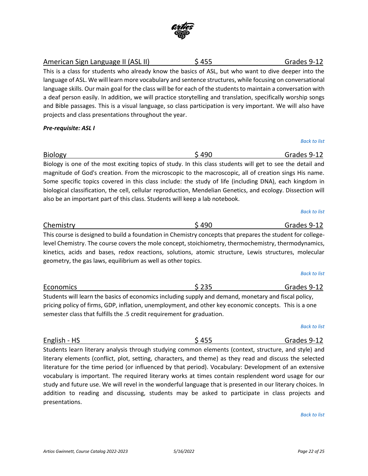<span id="page-21-0"></span>American Sign Language II (ASL II)  $\begin{array}{ccc} 5 & 455 \\ -2 & 12 \end{array}$  Grades 9-12

This is a class for students who already know the basics of ASL, but who want to dive deeper into the language of ASL. We will learn more vocabulary and sentence structures, while focusing on conversational language skills. Our main goal for the class will be for each of the students to maintain a conversation with a deaf person easily. In addition, we will practice storytelling and translation, specifically worship songs and Bible passages. This is a visual language, so class participation is very important. We will also have projects and class presentations throughout the year.

*Pre-requisite: ASL I*

<span id="page-21-1"></span>Biology \$ 490 Grades 9-12 Biology is one of the most exciting topics of study. In this class students will get to see the detail and magnitude of God's creation. From the microscopic to the macroscopic, all of creation sings His name. Some specific topics covered in this class include: the study of life (including DNA), each kingdom in biological classification, the cell, cellular reproduction, Mendelian Genetics, and ecology. Dissection will also be an important part of this class. Students will keep a lab notebook.

### <span id="page-21-2"></span>Chemistry **6.12** S 490 Grades 9-12 This course is designed to build a foundation in Chemistry concepts that prepares the student for collegelevel Chemistry. The course covers the mole concept, stoichiometry, thermochemistry, thermodynamics, kinetics, acids and bases, redox reactions, solutions, atomic structure, Lewis structures, molecular geometry, the gas laws, equilibrium as well as other topics.

<span id="page-21-3"></span>

| Economics                                                                                             | \$235 | Grades 9-12 |
|-------------------------------------------------------------------------------------------------------|-------|-------------|
| Students will learn the basics of economics including supply and demand, monetary and fiscal policy,  |       |             |
| pricing policy of firms, GDP, inflation, unemployment, and other key economic concepts. This is a one |       |             |
| semester class that fulfills the .5 credit requirement for graduation.                                |       |             |

# *[Back to list](#page-1-1)*

<span id="page-21-4"></span>English - HS Grades 9-12 Students learn literary analysis through studying common elements (context, structure, and style) and literary elements (conflict, plot, setting, characters, and theme) as they read and discuss the selected literature for the time period (or influenced by that period). Vocabulary: Development of an extensive vocabulary is important. The required literary works at times contain resplendent word usage for our study and future use. We will revel in the wonderful language that is presented in our literary choices. In addition to reading and discussing, students may be asked to participate in class projects and presentations.

*[Back to list](#page-1-1)*

*[Back to list](#page-1-1)*

*[Back to list](#page-1-1)*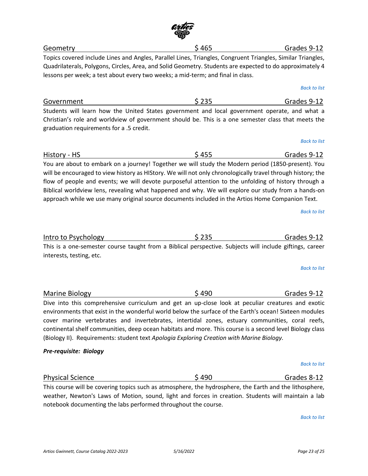<span id="page-22-4"></span>

| interests, testing, etc.                                                                                                                                                                                                                                                                                       |       |                     |
|----------------------------------------------------------------------------------------------------------------------------------------------------------------------------------------------------------------------------------------------------------------------------------------------------------------|-------|---------------------|
|                                                                                                                                                                                                                                                                                                                |       | <b>Back to list</b> |
| Marine Biology                                                                                                                                                                                                                                                                                                 | \$490 | Grades 9-12         |
| Dive into this comprehensive curriculum and get an up-close look at peculiar creatures and exotic<br>environments that exist in the wonderful world below the surface of the Earth's ocean! Sixteen modules<br>cover marine vertebrates and invertebrates, intertidal zones, estuary communities, coral reefs, |       |                     |
| continental shelf communities, deep ocean habitats and more. This course is a second level Biology class<br>(Biology II). Requirements: student text Apologia Exploring Creation with Marine Biology.                                                                                                          |       |                     |

#### *Pre-requisite: Biology*

interests, testing, etc.

graduation requirements for a .5 credit.

<span id="page-22-5"></span>Physical Science **120 Cranes 8-12** Grades 8-12

This course will be covering topics such as atmosphere, the hydrosphere, the Earth and the lithosphere, weather, Newton's Laws of Motion, sound, light and forces in creation. Students will maintain a lab notebook documenting the labs performed throughout the course.

*[Back to list](#page-1-1)*

approach while we use many original source documents included in the Artios Home Companion Text.

*[Back to list](#page-1-1)*

### <span id="page-22-2"></span>History - HS Grades 9-12

*[Back to list](#page-1-1)*

*[Back to list](#page-1-1)*

You are about to embark on a journey! Together we will study the Modern period (1850-present). You will be encouraged to view history as HIStory. We will not only chronologically travel through history; the

<span id="page-22-3"></span>Intro to Psychology **6.12** S 235 Grades 9-12

Christian's role and worldview of government should be. This is a one semester class that meets the

lessons per week; a test about every two weeks; a mid-term; and final in class.

<span id="page-22-0"></span>Topics covered include Lines and Angles, Parallel Lines, Triangles, Congruent Triangles, Similar Triangles,

 $Geometry$  Geometry Grades 9-12

This is a one-semester course taught from a Biblical perspective. Subjects will include giftings, career

*[Back to list](#page-1-1)*



Quadrilaterals, Polygons, Circles, Area, and Solid Geometry. Students are expected to do approximately 4

<span id="page-22-1"></span>Government \$ 235 Grades 9-12 Students will learn how the United States government and local government operate, and what a

flow of people and events; we will devote purposeful attention to the unfolding of history through a Biblical worldview lens, revealing what happened and why. We will explore our study from a hands-on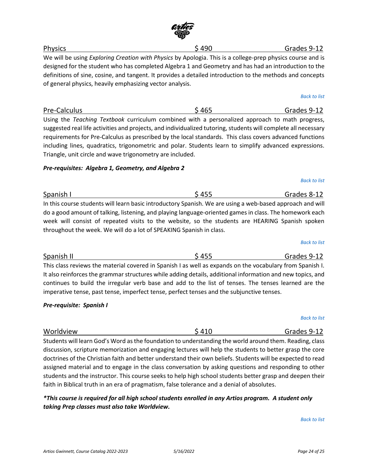## <span id="page-23-0"></span>Physics \$ 490 Grades 9-12

We will be using *Exploring Creation with Physics* by Apologia. This is a college-prep physics course and is designed for the student who has completed Algebra 1 and Geometry and has had an introduction to the definitions of sine, cosine, and tangent. It provides a detailed introduction to the methods and concepts of general physics, heavily emphasizing vector analysis.

# *[Back to list](#page-1-1)*

Using the *Teaching Textbook* curriculum combined with a personalized approach to math progress, suggested real life activities and projects, and individualized tutoring, students will complete all necessary requirements for Pre-Calculus as prescribed by the local standards. This class covers advanced functions including lines, quadratics, trigonometric and polar. Students learn to simplify advanced expressions. Triangle, unit circle and wave trigonometry are included.

<span id="page-23-1"></span>Pre-Calculus **Exercise 2-12** S 465 Grades 9-12

### *Pre-requisites: Algebra 1, Geometry, and Algebra 2*

<span id="page-23-2"></span>Spanish I **Spanish I**  $\frac{1}{2}$  455 Grades 8-12 In this course students will learn basic introductory Spanish. We are using a web-based approach and will do a good amount of talking, listening, and playing language-oriented games in class. The homework each week will consist of repeated visits to the website, so the students are HEARING Spanish spoken throughout the week. We will do a lot of SPEAKING Spanish in class.

<span id="page-23-3"></span>Spanish II 6 April 1994 - Spanish II 6 April 1994 - Spanish II 6 April 1995 - Spanish II 6 April 1995 - Spanis This class reviews the material covered in Spanish I as well as expands on the vocabulary from Spanish I. It also reinforces the grammar structures while adding details, additional information and new topics, and continues to build the irregular verb base and add to the list of tenses. The tenses learned are the imperative tense, past tense, imperfect tense, perfect tenses and the subjunctive tenses.

### *Pre-requisite: Spanish I*

Worldview \$ 410 Grades 9-12 Students will learn God's Word as the foundation to understanding the world around them. Reading, class discussion, scripture memorization and engaging lectures will help the students to better grasp the core doctrines of the Christian faith and better understand their own beliefs. Students will be expected to read assigned material and to engage in the class conversation by asking questions and responding to other students and the instructor. This course seeks to help high school students better grasp and deepen their faith in Biblical truth in an era of pragmatism, false tolerance and a denial of absolutes.

*\*This course is required for all high school students enrolled in any Artios program. A student only taking Prep classes must also take Worldview.*

*[Back to list](#page-1-1)*

#### *[Back to list](#page-1-1)*

# *[Back to list](#page-1-1)*